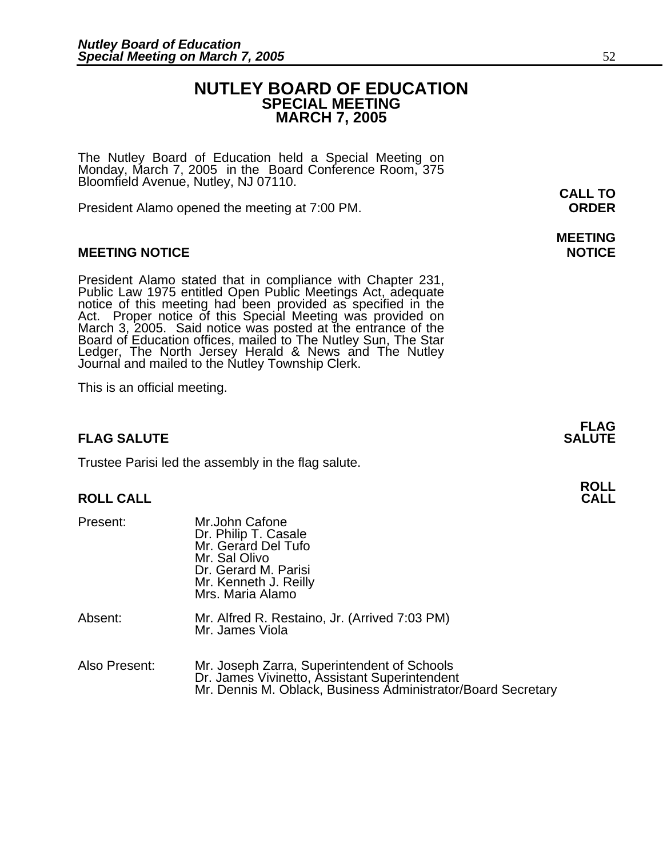## **NUTLEY BOARD OF EDUCATION SPECIAL MEETING MARCH 7, 2005**

The Nutley Board of Education held a Special Meeting on Monday, March 7, 2005 in the Board Conference Room, 375 Bloomfield Avenue, Nutley, NJ 07110.

President Alamo opened the meeting at 7:00 PM. **ORDER**

## **MEETING NOTICE NOTICE**

President Alamo stated that in compliance with Chapter 231,<br>Public Law 1975 entitled Open Public Meetings Act, adequate<br>notice of this meeting had been provided as specified in the<br>Act. Proper notice of this Special Meetin Board of Education offices, mailed to The Nutley Sun, The Star Ledger, The North Jersey Herald & News and The Nutley Journal and mailed to the Nutley Township Clerk.

This is an official meeting.

## **FLAG SALUTE** SALUTE

Trustee Parisi led the assembly in the flag salute.

## **ROLL CALL CALL**

| Present:      | Mr.John Cafone<br>Dr. Philip T. Casale<br>Mr. Gerard Del Tufo<br>Mr. Sal Olivo<br>Dr. Gerard M. Parisi<br>Mr. Kenneth J. Reilly<br>Mrs. Maria Alamo          |
|---------------|--------------------------------------------------------------------------------------------------------------------------------------------------------------|
| Absent:       | Mr. Alfred R. Restaino, Jr. (Arrived 7:03 PM)<br>Mr. James Viola                                                                                             |
| Also Present: | Mr. Joseph Zarra, Superintendent of Schools<br>Dr. James Vivinetto, Assistant Superintendent<br>Mr. Dennis M. Oblack, Business Administrator/Board Secretary |

# **MEETING**

**FLAG** 

**ROLL**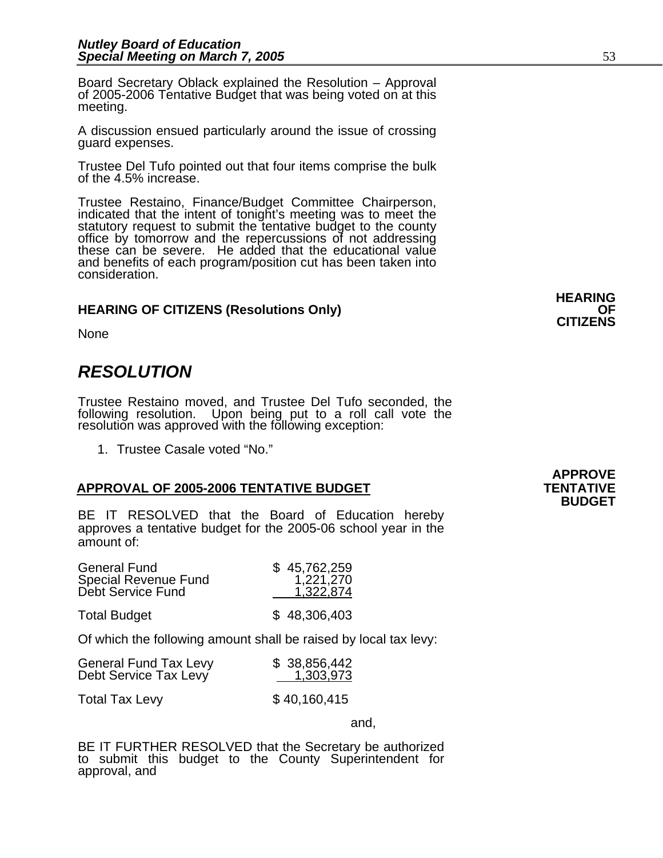Board Secretary Oblack explained the Resolution – Approval of 2005-2006 Tentative Budget that was being voted on at this meeting.

A discussion ensued particularly around the issue of crossing guard expenses.

Trustee Del Tufo pointed out that four items comprise the bulk of the 4.5% increase.

Trustee Restaino, Finance/Budget Committee Chairperson, indicated that the intent of tonight's meeting was to meet the office by tomorrow and the repercussions of not addressing these can be severe. He added that the educational value and benefits of each program/position cut has been taken into consideration.

## **HEARING OF CITIZENS (Resolutions Only) OF CITIZENS**

None

## *RESOLUTION*

Trustee Restaino moved, and Trustee Del Tufo seconded, the following resolution. Upon being put to a roll call vote the resolution was approved with the following exception:

1. Trustee Casale voted "No."

## APPROVAL OF 2005-2006 TENTATIVE BUDGET **TENTATIVE**

BE IT RESOLVED that the Board of Education hereby approves a tentative budget for the 2005-06 school year in the amount of:

| <b>General Fund</b><br>Special Revenue Fund<br>Debt Service Fund | \$45,762,259<br>1,221,270<br>1,322,874 |
|------------------------------------------------------------------|----------------------------------------|
| <b>Total Budget</b>                                              | \$48,306,403                           |

Of which the following amount shall be raised by local tax levy:

| <b>General Fund Tax Levy</b> | \$38,856,442 |
|------------------------------|--------------|
| Debt Service Tax Levy        | 1,303,973    |

Total Tax Levy \$40,160,415

and,

BE IT FURTHER RESOLVED that the Secretary be authorized to submit this budget to the County Superintendent for approval, and

**HEARING**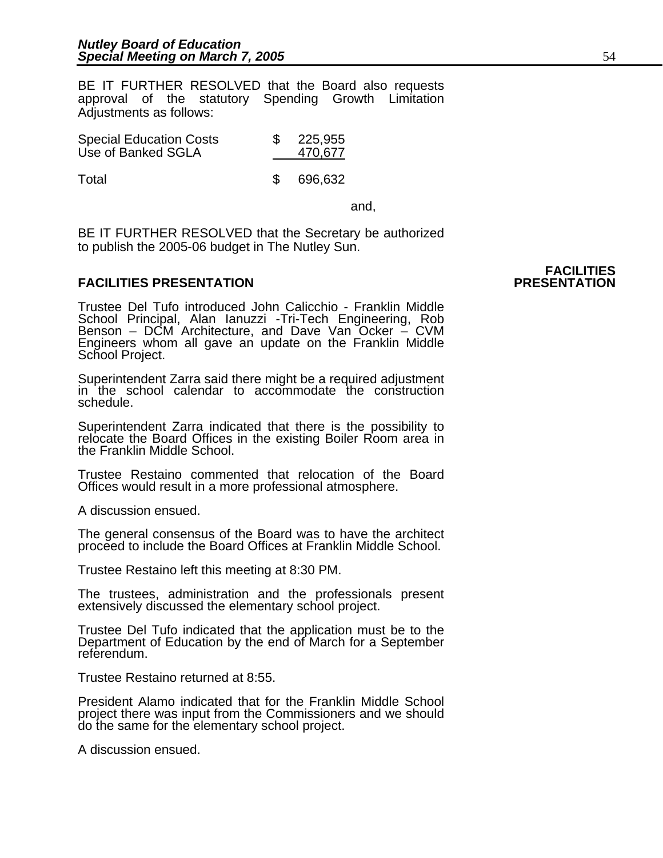BE IT FURTHER RESOLVED that the Board also requests approval of the statutory Spending Growth Limitation Adjustments as follows:

| <b>Special Education Costs</b> |  | 225,955 |
|--------------------------------|--|---------|
| Use of Banked SGLA             |  | 470,677 |
|                                |  |         |

Total **\$ 696,632** 

and, the contract of the contract of the contract of the contract of the contract of the contract of the contract of the contract of the contract of the contract of the contract of the contract of the contract of the contr

BE IT FURTHER RESOLVED that the Secretary be authorized to publish the 2005-06 budget in The Nutley Sun.

## **FACILITIES PRESENTATION**

Trustee Del Tufo introduced John Calicchio - Franklin Middle School Principal, Alan Ianuzzi -Tri-Tech Engineering, Rob Benson – DCM Architecture, and Dave Van Ocker – CVM Engineers whom all gave an update on the Franklin Middle<br>School Project.

Superintendent Zarra said there might be a required adjustment in the school calendar to accommodate the construction schedule.

Superintendent Zarra indicated that there is the possibility to relocate the Board Offices in the existing Boiler Room area in the Franklin Middle School.

Trustee Restaino commented that relocation of the Board Offices would result in a more professional atmosphere.

A discussion ensued.

The general consensus of the Board was to have the architect proceed to include the Board Offices at Franklin Middle School.

Trustee Restaino left this meeting at 8:30 PM.

The trustees, administration and the professionals present extensively discussed the elementary school project.

Trustee Del Tufo indicated that the application must be to the Department of Education by the end of March for a September referendum.

Trustee Restaino returned at 8:55.

President Alamo indicated that for the Franklin Middle School project there was input from the Commissioners and we should do the same for the elementary school project.

A discussion ensued.

# **FACILITIES**<br>PRESENTATION